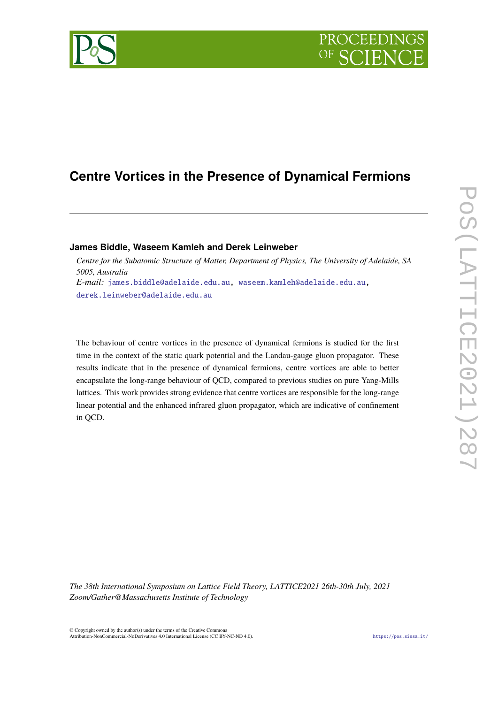

# **Centre Vortices in the Presence of Dynamical Fermions**

# **James Biddle, Waseem Kamleh and Derek Leinweber**

*Centre for the Subatomic Structure of Matter, Department of Physics, The University of Adelaide, SA 5005, Australia E-mail:* [james.biddle@adelaide.edu.au,](mailto:james.biddle@adelaide.edu.au) [waseem.kamleh@adelaide.edu.au,](mailto:waseem.kamleh@adelaide.edu.au) [derek.leinweber@adelaide.edu.au](mailto:derek.leinweber@adelaide.edu.au)

The behaviour of centre vortices in the presence of dynamical fermions is studied for the first time in the context of the static quark potential and the Landau-gauge gluon propagator. These results indicate that in the presence of dynamical fermions, centre vortices are able to better encapsulate the long-range behaviour of QCD, compared to previous studies on pure Yang-Mills lattices. This work provides strong evidence that centre vortices are responsible for the long-range linear potential and the enhanced infrared gluon propagator, which are indicative of confinement in QCD.

*The 38th International Symposium on Lattice Field Theory, LATTICE2021 26th-30th July, 2021 Zoom/Gather@Massachusetts Institute of Technology*

 $\odot$  Copyright owned by the author(s) under the terms of the Creative Common Attribution-NonCommercial-NoDerivatives 4.0 International License (CC BY-NC-ND 4.0). <https://pos.sissa.it/>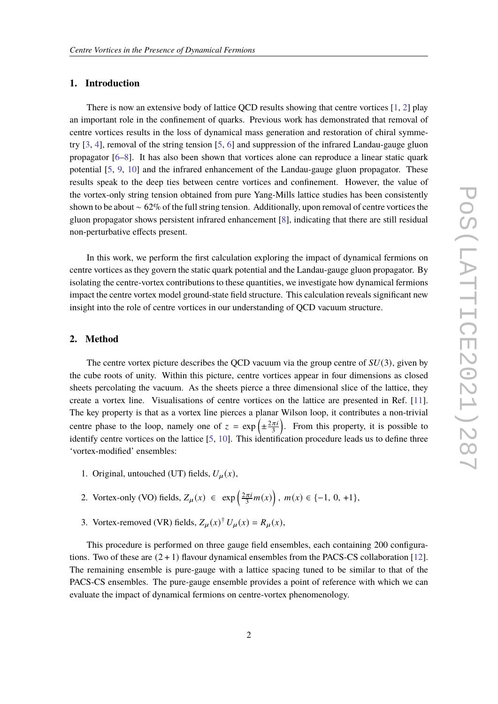#### **1. Introduction**

There is now an extensive body of lattice OCD results showing that centre vortices [\[1,](#page-6-0) [2\]](#page-6-1) play an important role in the confinement of quarks. Previous work has demonstrated that removal of centre vortices results in the loss of dynamical mass generation and restoration of chiral symmetry [\[3,](#page-6-2) [4\]](#page-6-3), removal of the string tension [\[5,](#page-6-4) [6\]](#page-6-5) and suppression of the infrared Landau-gauge gluon propagator [\[6–](#page-6-5)[8\]](#page-6-6). It has also been shown that vortices alone can reproduce a linear static quark potential [\[5,](#page-6-4) [9,](#page-6-7) [10\]](#page-7-0) and the infrared enhancement of the Landau-gauge gluon propagator. These results speak to the deep ties between centre vortices and confinement. However, the value of the vortex-only string tension obtained from pure Yang-Mills lattice studies has been consistently shown to be about ∼ 62% of the full string tension. Additionally, upon removal of centre vortices the gluon propagator shows persistent infrared enhancement [\[8\]](#page-6-6), indicating that there are still residual non-perturbative effects present.

In this work, we perform the first calculation exploring the impact of dynamical fermions on centre vortices as they govern the static quark potential and the Landau-gauge gluon propagator. By isolating the centre-vortex contributions to these quantities, we investigate how dynamical fermions impact the centre vortex model ground-state field structure. This calculation reveals significant new insight into the role of centre vortices in our understanding of QCD vacuum structure.

# **2. Method**

The centre vortex picture describes the OCD vacuum via the group centre of  $SU(3)$ , given by the cube roots of unity. Within this picture, centre vortices appear in four dimensions as closed sheets percolating the vacuum. As the sheets pierce a three dimensional slice of the lattice, they create a vortex line. Visualisations of centre vortices on the lattice are presented in Ref. [\[11\]](#page-7-1). The key property is that as a vortex line pierces a planar Wilson loop, it contributes a non-trivial centre phase to the loop, namely one of  $z = \exp\left(\pm \frac{2\pi i}{3}\right)$ . From this property, it is possible to identify centre vortices on the lattice [\[5,](#page-6-4) [10\]](#page-7-0). This identification procedure leads us to define three 'vortex-modified' ensembles:

- 1. Original, untouched (UT) fields,  $U_{\mu}(x)$ ,
- 2. Vortex-only (VO) fields,  $Z_{\mu}(x) \in \exp\left(\frac{2\pi i}{3}m(x)\right)$ ,  $m(x) \in \{-1, 0, +1\}$ ,
- 3. Vortex-removed (VR) fields,  $Z_{\mu}(x)^{\dagger} U_{\mu}(x) = R_{\mu}(x)$ ,

This procedure is performed on three gauge field ensembles, each containing 200 configurations. Two of these are  $(2 + 1)$  flavour dynamical ensembles from the PACS-CS collaboration [\[12\]](#page-7-2). The remaining ensemble is pure-gauge with a lattice spacing tuned to be similar to that of the PACS-CS ensembles. The pure-gauge ensemble provides a point of reference with which we can evaluate the impact of dynamical fermions on centre-vortex phenomenology.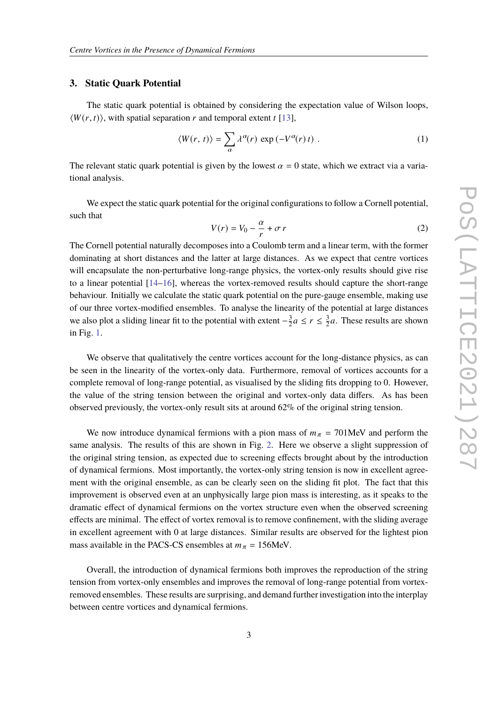### **3. Static Quark Potential**

The static quark potential is obtained by considering the expectation value of Wilson loops,  $\langle W(r, t) \rangle$ , with spatial separation r and temporal extent t [\[13\]](#page-7-3),

$$
\langle W(r,\,t)\rangle = \sum_{\alpha} \lambda^{\alpha}(r) \, \exp\left(-V^{\alpha}(r)\,t\right) \,. \tag{1}
$$

The relevant static quark potential is given by the lowest  $\alpha = 0$  state, which we extract via a variational analysis.

We expect the static quark potential for the original configurations to follow a Cornell potential, such that  $\alpha$ 

$$
V(r) = V_0 - \frac{\alpha}{r} + \sigma r \tag{2}
$$

The Cornell potential naturally decomposes into a Coulomb term and a linear term, with the former dominating at short distances and the latter at large distances. As we expect that centre vortices will encapsulate the non-perturbative long-range physics, the vortex-only results should give rise to a linear potential [\[14–](#page-7-4)[16\]](#page-7-5), whereas the vortex-removed results should capture the short-range behaviour. Initially we calculate the static quark potential on the pure-gauge ensemble, making use of our three vortex-modified ensembles. To analyse the linearity of the potential at large distances we also plot a sliding linear fit to the potential with extent  $-\frac{3}{2}$  $\frac{3}{2}a \leq r \leq \frac{3}{2}$  $\frac{3}{2}a$ . These results are shown in Fig. [1.](#page-3-0)

We observe that qualitatively the centre vortices account for the long-distance physics, as can be seen in the linearity of the vortex-only data. Furthermore, removal of vortices accounts for a complete removal of long-range potential, as visualised by the sliding fits dropping to 0. However, the value of the string tension between the original and vortex-only data differs. As has been observed previously, the vortex-only result sits at around 62% of the original string tension.

We now introduce dynamical fermions with a pion mass of  $m_{\pi} = 701$ MeV and perform the same analysis. The results of this are shown in Fig. [2.](#page-3-1) Here we observe a slight suppression of the original string tension, as expected due to screening effects brought about by the introduction of dynamical fermions. Most importantly, the vortex-only string tension is now in excellent agreement with the original ensemble, as can be clearly seen on the sliding fit plot. The fact that this improvement is observed even at an unphysically large pion mass is interesting, as it speaks to the dramatic effect of dynamical fermions on the vortex structure even when the observed screening effects are minimal. The effect of vortex removal is to remove confinement, with the sliding average in excellent agreement with 0 at large distances. Similar results are observed for the lightest pion mass available in the PACS-CS ensembles at  $m_{\pi} = 156$ MeV.

Overall, the introduction of dynamical fermions both improves the reproduction of the string tension from vortex-only ensembles and improves the removal of long-range potential from vortexremoved ensembles. These results are surprising, and demand further investigation into the interplay between centre vortices and dynamical fermions.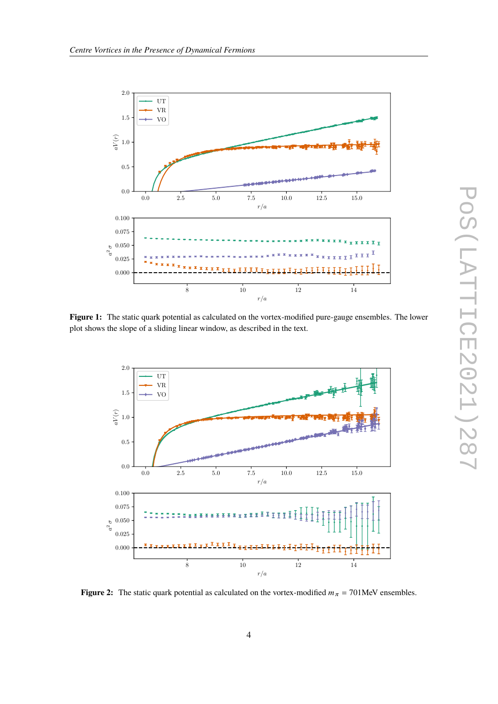<span id="page-3-0"></span>

**Figure 1:** The static quark potential as calculated on the vortex-modified pure-gauge ensembles. The lower plot shows the slope of a sliding linear window, as described in the text.

<span id="page-3-1"></span>

**Figure 2:** The static quark potential as calculated on the vortex-modified  $m_{\pi} = 701$ MeV ensembles.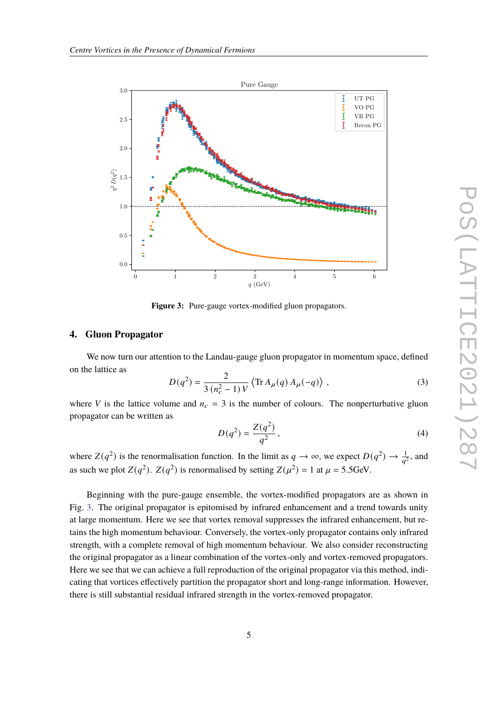<span id="page-4-0"></span>

**Figure 3:** Pure-gauge vortex-modified gluon propagators.

# **4. Gluon Propagator**

We now turn our attention to the Landau-gauge gluon propagator in momentum space, defined on the lattice as

$$
D(q^2) = \frac{2}{3(n_c^2 - 1)V} \left\langle \text{Tr} \, A_\mu(q) \, A_\mu(-q) \right\rangle, \tag{3}
$$

where V is the lattice volume and  $n_c = 3$  is the number of colours. The nonperturbative gluon propagator can be written as

$$
D(q^2) = \frac{Z(q^2)}{q^2},
$$
\n(4)

where  $Z(q^2)$  is the renormalisation function. In the limit as  $q \to \infty$ , we expect  $D(q^2) \to \frac{1}{q^2}$ , and as such we plot  $Z(q^2)$ .  $Z(q^2)$  is renormalised by setting  $Z(\mu^2) = 1$  at  $\mu = 5.5$ GeV.

Beginning with the pure-gauge ensemble, the vortex-modified propagators are as shown in Fig. [3.](#page-4-0) The original propagator is epitomised by infrared enhancement and a trend towards unity at large momentum. Here we see that vortex removal suppresses the infrared enhancement, but retains the high momentum behaviour. Conversely, the vortex-only propagator contains only infrared strength, with a complete removal of high momentum behaviour. We also consider reconstructing the original propagator as a linear combination of the vortex-only and vortex-removed propagators. Here we see that we can achieve a full reproduction of the original propagator via this method, indicating that vortices effectively partition the propagator short and long-range information. However, there is still substantial residual infrared strength in the vortex-removed propagator.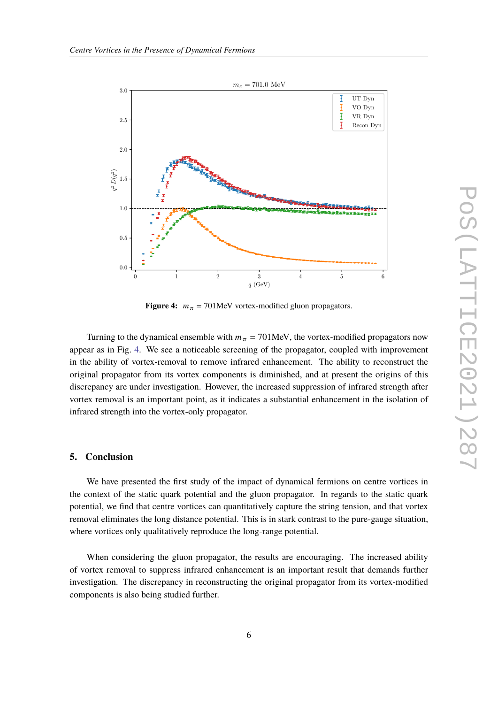<span id="page-5-0"></span>

**Figure 4:**  $m_{\pi}$  = 701MeV vortex-modified gluon propagators.

Turning to the dynamical ensemble with  $m_{\pi} = 701$  MeV, the vortex-modified propagators now appear as in Fig. [4.](#page-5-0) We see a noticeable screening of the propagator, coupled with improvement in the ability of vortex-removal to remove infrared enhancement. The ability to reconstruct the original propagator from its vortex components is diminished, and at present the origins of this discrepancy are under investigation. However, the increased suppression of infrared strength after vortex removal is an important point, as it indicates a substantial enhancement in the isolation of infrared strength into the vortex-only propagator.

## **5. Conclusion**

We have presented the first study of the impact of dynamical fermions on centre vortices in the context of the static quark potential and the gluon propagator. In regards to the static quark potential, we find that centre vortices can quantitatively capture the string tension, and that vortex removal eliminates the long distance potential. This is in stark contrast to the pure-gauge situation, where vortices only qualitatively reproduce the long-range potential.

When considering the gluon propagator, the results are encouraging. The increased ability of vortex removal to suppress infrared enhancement is an important result that demands further investigation. The discrepancy in reconstructing the original propagator from its vortex-modified components is also being studied further.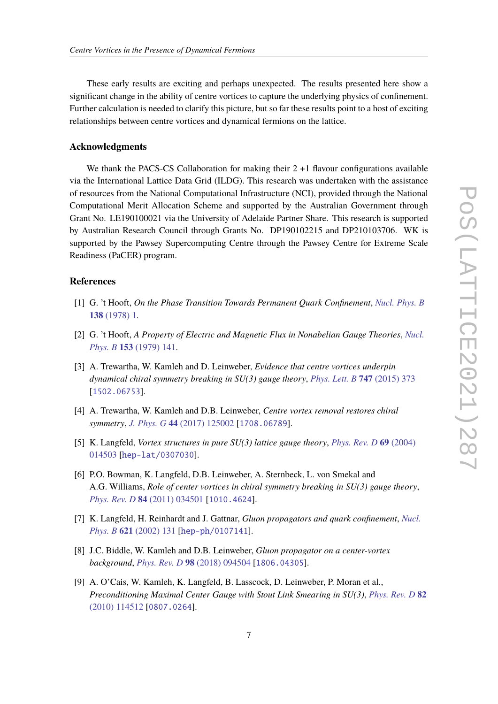These early results are exciting and perhaps unexpected. The results presented here show a significant change in the ability of centre vortices to capture the underlying physics of confinement. Further calculation is needed to clarify this picture, but so far these results point to a host of exciting relationships between centre vortices and dynamical fermions on the lattice.

# **Acknowledgments**

We thank the PACS-CS Collaboration for making their  $2 + 1$  flavour configurations available via the International Lattice Data Grid (ILDG). This research was undertaken with the assistance of resources from the National Computational Infrastructure (NCI), provided through the National Computational Merit Allocation Scheme and supported by the Australian Government through Grant No. LE190100021 via the University of Adelaide Partner Share. This research is supported by Australian Research Council through Grants No. DP190102215 and DP210103706. WK is supported by the Pawsey Supercomputing Centre through the Pawsey Centre for Extreme Scale Readiness (PaCER) program.

#### **References**

- <span id="page-6-0"></span>[1] G. 't Hooft, *On the Phase Transition Towards Permanent Quark Confinement*, *[Nucl. Phys. B](https://doi.org/10.1016/0550-3213(78)90153-0)* **138** [\(1978\) 1.](https://doi.org/10.1016/0550-3213(78)90153-0)
- <span id="page-6-1"></span>[2] G. 't Hooft, *A Property of Electric and Magnetic Flux in Nonabelian Gauge Theories*, *[Nucl.](https://doi.org/10.1016/0550-3213(79)90595-9) Phys. B* **153** [\(1979\) 141.](https://doi.org/10.1016/0550-3213(79)90595-9)
- <span id="page-6-2"></span>[3] A. Trewartha, W. Kamleh and D. Leinweber, *Evidence that centre vortices underpin dynamical chiral symmetry breaking in SU(3) gauge theory*, *[Phys. Lett. B](https://doi.org/10.1016/j.physletb.2015.06.025)* **747** (2015) 373 [[1502.06753](https://arxiv.org/abs/1502.06753)].
- <span id="page-6-3"></span>[4] A. Trewartha, W. Kamleh and D.B. Leinweber, *Centre vortex removal restores chiral symmetry*, *J. Phys. G* **44** [\(2017\) 125002](https://doi.org/10.1088/1361-6471/aa9443) [[1708.06789](https://arxiv.org/abs/1708.06789)].
- <span id="page-6-4"></span>[5] K. Langfeld, *Vortex structures in pure SU(3) lattice gauge theory*, *[Phys. Rev. D](https://doi.org/10.1103/PhysRevD.69.014503)* **69** (2004) [014503](https://doi.org/10.1103/PhysRevD.69.014503) [[hep-lat/0307030](https://arxiv.org/abs/hep-lat/0307030)].
- <span id="page-6-5"></span>[6] P.O. Bowman, K. Langfeld, D.B. Leinweber, A. Sternbeck, L. von Smekal and A.G. Williams, *Role of center vortices in chiral symmetry breaking in SU(3) gauge theory*, *[Phys. Rev. D](https://doi.org/10.1103/PhysRevD.84.034501)* **84** (2011) 034501 [[1010.4624](https://arxiv.org/abs/1010.4624)].
- [7] K. Langfeld, H. Reinhardt and J. Gattnar, *Gluon propagators and quark confinement*, *[Nucl.](https://doi.org/10.1016/S0550-3213(01)00574-0) Phys. B* **621** [\(2002\) 131](https://doi.org/10.1016/S0550-3213(01)00574-0) [[hep-ph/0107141](https://arxiv.org/abs/hep-ph/0107141)].
- <span id="page-6-6"></span>[8] J.C. Biddle, W. Kamleh and D.B. Leinweber, *Gluon propagator on a center-vortex background*, *[Phys. Rev. D](https://doi.org/10.1103/PhysRevD.98.094504)* **98** (2018) 094504 [[1806.04305](https://arxiv.org/abs/1806.04305)].
- <span id="page-6-7"></span>[9] A. O'Cais, W. Kamleh, K. Langfeld, B. Lasscock, D. Leinweber, P. Moran et al., *Preconditioning Maximal Center Gauge with Stout Link Smearing in SU(3)*, *[Phys. Rev. D](https://doi.org/10.1103/PhysRevD.82.114512)* **82** [\(2010\) 114512](https://doi.org/10.1103/PhysRevD.82.114512) [[0807.0264](https://arxiv.org/abs/0807.0264)].